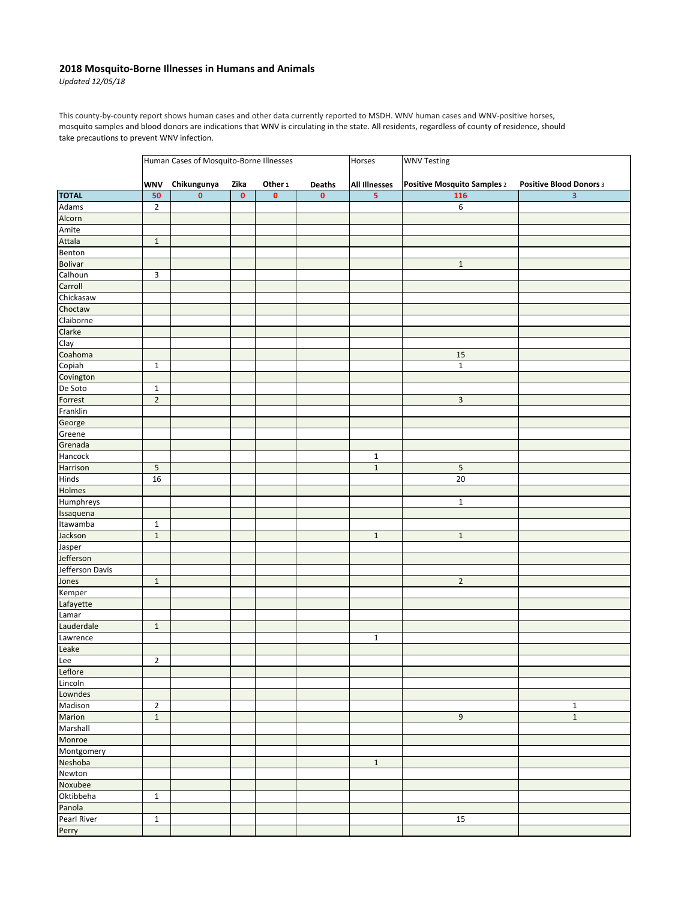## **2018 Mosquito-Borne Illnesses in Humans and Animals**

*Updated 12/05/18*

This county-by-county report shows human cases and other data currently reported to MSDH. WNV human cases and WNV-positive horses, mosquito samples and blood donors are indications that WNV is circulating in the state. All residents, regardless of county of residence, should take precautions to prevent WNV infection.

|                       | Human Cases of Mosquito-Borne Illnesses |             |           |           |           | Horses                  | <b>WNV Testing</b>          |                         |  |
|-----------------------|-----------------------------------------|-------------|-----------|-----------|-----------|-------------------------|-----------------------------|-------------------------|--|
|                       | <b>WNV</b>                              | Chikungunya | Zika      | Other 1   | Deaths    | <b>All Illnesses</b>    | Positive Mosquito Samples 2 | Positive Blood Donors 3 |  |
| <b>TOTAL</b>          | 50                                      | $\mathbf 0$ | $\pmb{0}$ | $\pmb{0}$ | $\pmb{0}$ | $\overline{\mathbf{5}}$ | 116                         | 3                       |  |
| Adams                 | $\overline{2}$                          |             |           |           |           |                         | 6                           |                         |  |
| Alcorn                |                                         |             |           |           |           |                         |                             |                         |  |
| Amite                 |                                         |             |           |           |           |                         |                             |                         |  |
| Attala                | $\mathbf 1$                             |             |           |           |           |                         |                             |                         |  |
| Benton                |                                         |             |           |           |           |                         |                             |                         |  |
| <b>Bolivar</b>        |                                         |             |           |           |           |                         | $1\,$                       |                         |  |
| Calhoun               | $\ensuremath{\mathsf{3}}$               |             |           |           |           |                         |                             |                         |  |
| Carroll               |                                         |             |           |           |           |                         |                             |                         |  |
| Chickasaw             |                                         |             |           |           |           |                         |                             |                         |  |
| Choctaw               |                                         |             |           |           |           |                         |                             |                         |  |
| Claiborne             |                                         |             |           |           |           |                         |                             |                         |  |
| Clarke                |                                         |             |           |           |           |                         |                             |                         |  |
| Clay                  |                                         |             |           |           |           |                         |                             |                         |  |
| Coahoma               |                                         |             |           |           |           |                         | 15                          |                         |  |
| Copiah                | $\mathbf 1$                             |             |           |           |           |                         | $\mathbf 1$                 |                         |  |
| Covington             |                                         |             |           |           |           |                         |                             |                         |  |
| De Soto               | $\mathbf{1}$                            |             |           |           |           |                         |                             |                         |  |
| Forrest               | $\overline{2}$                          |             |           |           |           |                         | $\ensuremath{\mathsf{3}}$   |                         |  |
| Franklin              |                                         |             |           |           |           |                         |                             |                         |  |
| George                |                                         |             |           |           |           |                         |                             |                         |  |
| Greene                |                                         |             |           |           |           |                         |                             |                         |  |
| Grenada               |                                         |             |           |           |           |                         |                             |                         |  |
| Hancock               |                                         |             |           |           |           | $\mathbf{1}$            |                             |                         |  |
| Harrison              | 5                                       |             |           |           |           | $\mathbf 1$             | 5                           |                         |  |
| Hinds                 | 16                                      |             |           |           |           |                         | $20\,$                      |                         |  |
| Holmes                |                                         |             |           |           |           |                         |                             |                         |  |
| Humphreys             |                                         |             |           |           |           |                         | $\mathbf{1}$                |                         |  |
|                       |                                         |             |           |           |           |                         |                             |                         |  |
| Issaquena<br>Itawamba | $\mathbf 1$                             |             |           |           |           |                         |                             |                         |  |
| Jackson               |                                         |             |           |           |           |                         |                             |                         |  |
|                       | $\mathbf{1}$                            |             |           |           |           | $\mathbf 1$             | $1\,$                       |                         |  |
| Jasper<br>Jefferson   |                                         |             |           |           |           |                         |                             |                         |  |
| Jefferson Davis       |                                         |             |           |           |           |                         |                             |                         |  |
|                       |                                         |             |           |           |           |                         | $\overline{2}$              |                         |  |
| Jones                 | $\,1\,$                                 |             |           |           |           |                         |                             |                         |  |
| Kemper                |                                         |             |           |           |           |                         |                             |                         |  |
| Lafayette             |                                         |             |           |           |           |                         |                             |                         |  |
| Lamar                 |                                         |             |           |           |           |                         |                             |                         |  |
| Lauderdale            | $\mathbf{1}$                            |             |           |           |           |                         |                             |                         |  |
| Lawrence              |                                         |             |           |           |           | $\mathbf 1$             |                             |                         |  |
| Leake                 |                                         |             |           |           |           |                         |                             |                         |  |
| Lee                   | $\overline{2}$                          |             |           |           |           |                         |                             |                         |  |
| Leflore               |                                         |             |           |           |           |                         |                             |                         |  |
| Lincoln               |                                         |             |           |           |           |                         |                             |                         |  |
| Lowndes               |                                         |             |           |           |           |                         |                             |                         |  |
| Madison               | $\overline{2}$                          |             |           |           |           |                         |                             | $\mathbf{1}$            |  |
| Marion                | $\,1\,$                                 |             |           |           |           |                         | 9                           | $\,1\,$                 |  |
| Marshall              |                                         |             |           |           |           |                         |                             |                         |  |
| Monroe                |                                         |             |           |           |           |                         |                             |                         |  |
| Montgomery            |                                         |             |           |           |           |                         |                             |                         |  |
| Neshoba               |                                         |             |           |           |           | $\,1\,$                 |                             |                         |  |
| Newton                |                                         |             |           |           |           |                         |                             |                         |  |
| Noxubee               |                                         |             |           |           |           |                         |                             |                         |  |
| Oktibbeha             | $\mathbf{1}$                            |             |           |           |           |                         |                             |                         |  |
| Panola                |                                         |             |           |           |           |                         |                             |                         |  |
| Pearl River           | $\mathbf{1}$                            |             |           |           |           |                         | $15\,$                      |                         |  |
| Perry                 |                                         |             |           |           |           |                         |                             |                         |  |